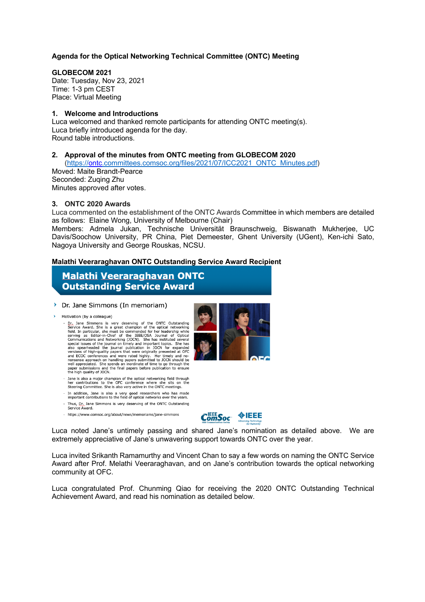#### **Agenda for the Optical Networking Technical Committee (ONTC) Meeting**

#### **GLOBECOM 2021**

Date: Tuesday, Nov 23, 2021 Time: 1-3 pm CEST Place: Virtual Meeting

#### **1. Welcome and Introductions**

Luca welcomed and thanked remote participants for attending ONTC meeting(s). Luca briefly introduced agenda for the day. Round table introductions.

#### **2. Approval of the minutes from ONTC meeting from GLOBECOM 2020**

(https://ontc.committees.comsoc.org/files/2021/07/ICC2021\_ONTC\_Minutes.pdf)

Moved: Maite Brandt-Pearce Seconded: Zuqing Zhu Minutes approved after votes.

#### **3. ONTC 2020 Awards**

Luca commented on the establishment of the ONTC Awards Committee in which members are detailed as follows: Elaine Wong, University of Melbourne (Chair)

Members: Admela Jukan, Technische Universität Braunschweig, Biswanath Mukherjee, UC Davis/Soochow University, PR China, Piet Demeester, Ghent University (UGent), Ken-ichi Sato, Nagoya University and George Rouskas, NCSU.

#### **Malathi Veeraraghavan ONTC Outstanding Service Award Recipient**

# **Malathi Veeraraghavan ONTC Outstanding Service Award**

#### > Dr. Jane Simmons (In memoriam)

 $\rightarrow$  Motivation (by a colleague)

- otivation (by a colleague)<br>
Dr., Jane Simmons is very deserving of the ONTC Outstanding<br>
Dr., Jane Simmons is very deserving of the optical networking<br>
Field. In particular, she must be commended for her leadership while<br>
- Jane is also a major champion of the optical networking field through<br>her contributions to the OFC conference where she sits on the<br>Steering Committee. She is also very active in the ONTC meetings.
- In addition, Jane is also a very good researchers who has made<br>important contributions to the field of optical networks over the years.
- Thus, Dr., Jane Simmons is very deserving of the ONTC Outstanding Service Award.
- https://www.comsoc.org/about/news/memoriams/jane-simmons



 $ComSoc$  **VIEEE** 

Luca noted Jane's untimely passing and shared Jane's nomination as detailed above. We are extremely appreciative of Jane's unwavering support towards ONTC over the year.

Luca invited Srikanth Ramamurthy and Vincent Chan to say a few words on naming the ONTC Service Award after Prof. Melathi Veeraraghavan, and on Jane's contribution towards the optical networking community at OFC.

Luca congratulated Prof. Chunming Qiao for receiving the 2020 ONTC Outstanding Technical Achievement Award, and read his nomination as detailed below.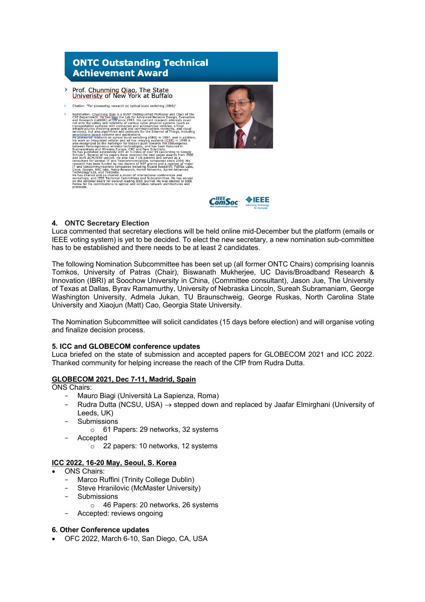

- Prof. Chunming Qiao, The State<br>Univeristy of New York at Buffalo  $\lambda$
- Citation: "For pioneering research on optical burst switching (OBS)"







## **4. ONTC Secretary Election**

Luca commented that secretary elections will be held online mid-December but the platform (emails or IEEE voting system) is yet to be decided. To elect the new secretary, a new nomination sub-committee has to be established and there needs to be at least 2 candidates.

The following Nomination Subcommittee has been set up (all former ONTC Chairs) comprising Ioannis Tomkos, University of Patras (Chair), Biswanath Mukherjee, UC Davis/Broadband Research & Innovation (IBRI) at Soochow University in China, (Committee consultant), Jason Jue, The University of Texas at Dallas, Byrav Ramamurthy, University of Nebraska Lincoln, Sureah Subramaniam, George Washington University, Admela Jukan, TU Braunschweig, George Ruskas, North Carolina State University and Xiaojun (Matt) Cao, Georgia State University.

The Nomination Subcommittee will solicit candidates (15 days before election) and will organise voting and finalize decision process.

## **5. ICC and GLOBECOM conference updates**

Luca briefed on the state of submission and accepted papers for GLOBECOM 2021 and ICC 2022. Thanked community for helping increase the reach of the CfP from Rudra Dutta.

## **GLOBECOM 2021, Dec 7-11, Madrid, Spain**

#### ONS Chairs:

- Mauro Biagi (Università La Sapienza, Roma)
- Rudra Dutta (NCSU, USA)  $\rightarrow$  stepped down and replaced by Jaafar Elmirghani (University of Leeds, UK)
- **Submissions** 
	- o 61 Papers: 29 networks, 32 systems
- Accepted
	- o 22 papers: 10 networks, 12 systems

## **ICC 2022, 16-20 May, Seoul, S. Korea**

- ONS Chairs:
	- Marco Ruffini (Trinity College Dublin)
	- Steve Hranilovic (McMaster University)
	- Submissions
		- o 46 Papers: 20 networks, 26 systems
	- Accepted: reviews ongoing

## **6. Other Conference updates**

• OFC 2022, March 6-10, San Diego, CA, USA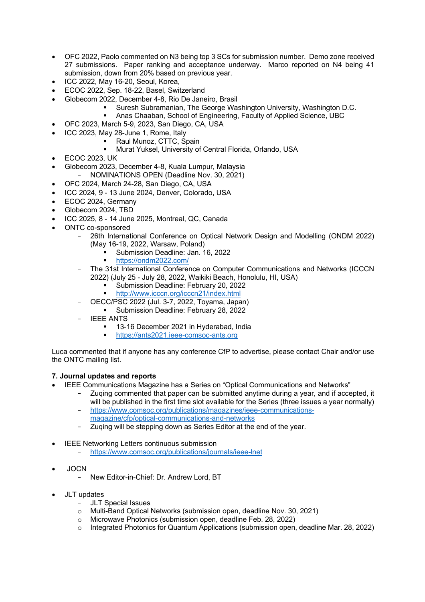- OFC 2022, Paolo commented on N3 being top 3 SCs for submission number. Demo zone received 27 submissions. Paper ranking and acceptance underway. Marco reported on N4 being 41 submission, down from 20% based on previous year.
- ICC 2022, May 16-20, Seoul, Korea,
- ECOC 2022, Sep. 18-22, Basel, Switzerland
- Globecom 2022, December 4-8, Rio De Janeiro, Brasil
	- § Suresh Subramanian, The George Washington University, Washington D.C.
	- § Anas Chaaban, School of Engineering, Faculty of Applied Science, UBC
	- OFC 2023, March 5-9, 2023, San Diego, CA, USA
- ICC 2023, May 28-June 1, Rome, Italy
	- § Raul Munoz, CTTC, Spain
		- § Murat Yuksel, University of Central Florida, Orlando, USA
- ECOC 2023, UK
- Globecom 2023, December 4-8, Kuala Lumpur, Malaysia
	- NOMINATIONS OPEN (Deadline Nov. 30, 2021)
- OFC 2024, March 24-28, San Diego, CA, USA
- ICC 2024, 9 13 June 2024, Denver, Colorado, USA
- ECOC 2024, Germany
- Globecom 2024, TBD
- ICC 2025, 8 14 June 2025, Montreal, QC, Canada
- ONTC co-sponsored
	- 26th International Conference on Optical Network Design and Modelling (ONDM 2022) (May 16-19, 2022, Warsaw, Poland)
		- § Submission Deadline: Jan. 16, 2022
		- § https://ondm2022.com/
	- The 31st International Conference on Computer Communications and Networks (ICCCN 2022) (July 25 - July 28, 2022, Waikiki Beach, Honolulu, HI, USA)
		- § Submission Deadline: February 20, 2022
		- § http://www.icccn.org/icccn21/index.html
	- OECC/PSC 2022 (Jul. 3-7, 2022, Toyama, Japan)
		- § Submission Deadline: February 28, 2022
	- **IEEE ANTS** 
		- 13-16 December 2021 in Hyderabad, India
		- § https://ants2021.ieee-comsoc-ants.org

Luca commented that if anyone has any conference CfP to advertise, please contact Chair and/or use the ONTC mailing list.

## **7. Journal updates and reports**

- IEEE Communications Magazine has a Series on "Optical Communications and Networks"
	- Zuqing commented that paper can be submitted anytime during a year, and if accepted, it will be published in the first time slot available for the Series (three issues a year normally)
	- https://www.comsoc.org/publications/magazines/ieee-communicationsmagazine/cfp/optical-communications-and-networks
	- Zuqing will be stepping down as Series Editor at the end of the year.
- IEEE Networking Letters continuous submission
	- https://www.comsoc.org/publications/journals/ieee-lnet
- JOCN
	- New Editor-in-Chief: Dr. Andrew Lord, BT
- JLT updates
	- JLT Special Issues
	- o Multi-Band Optical Networks (submission open, deadline Nov. 30, 2021)
	- o Microwave Photonics (submission open, deadline Feb. 28, 2022)
	- o Integrated Photonics for Quantum Applications (submission open, deadline Mar. 28, 2022)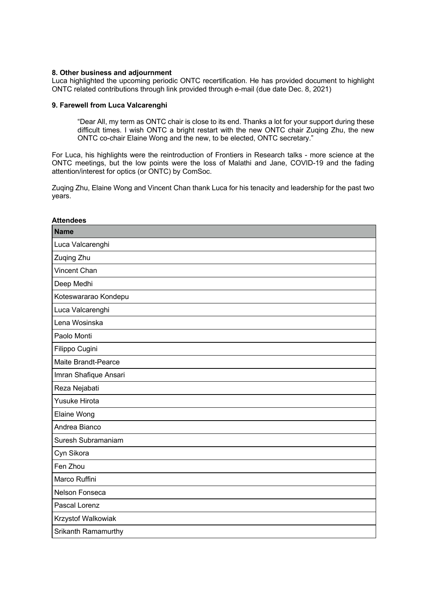#### **8. Other business and adjournment**

Luca highlighted the upcoming periodic ONTC recertification. He has provided document to highlight ONTC related contributions through link provided through e-mail (due date Dec. 8, 2021)

#### **9. Farewell from Luca Valcarenghi**

"Dear All, my term as ONTC chair is close to its end. Thanks a lot for your support during these difficult times. I wish ONTC a bright restart with the new ONTC chair Zuging Zhu, the new ONTC co-chair Elaine Wong and the new, to be elected, ONTC secretary."

For Luca, his highlights were the reintroduction of Frontiers in Research talks - more science at the ONTC meetings, but the low points were the loss of Malathi and Jane, COVID-19 and the fading attention/interest for optics (or ONTC) by ComSoc.

Zuqing Zhu, Elaine Wong and Vincent Chan thank Luca for his tenacity and leadership for the past two years.

| <b>Attendees</b>      |
|-----------------------|
| <b>Name</b>           |
| Luca Valcarenghi      |
| Zuqing Zhu            |
| Vincent Chan          |
| Deep Medhi            |
| Koteswararao Kondepu  |
| Luca Valcarenghi      |
| Lena Wosinska         |
| Paolo Monti           |
| Filippo Cugini        |
| Maite Brandt-Pearce   |
| Imran Shafique Ansari |
| Reza Nejabati         |
| <b>Yusuke Hirota</b>  |
| <b>Elaine Wong</b>    |
| Andrea Bianco         |
| Suresh Subramaniam    |
| Cyn Sikora            |
| Fen Zhou              |
| Marco Ruffini         |
| Nelson Fonseca        |
| Pascal Lorenz         |
| Krzystof Walkowiak    |
| Srikanth Ramamurthy   |